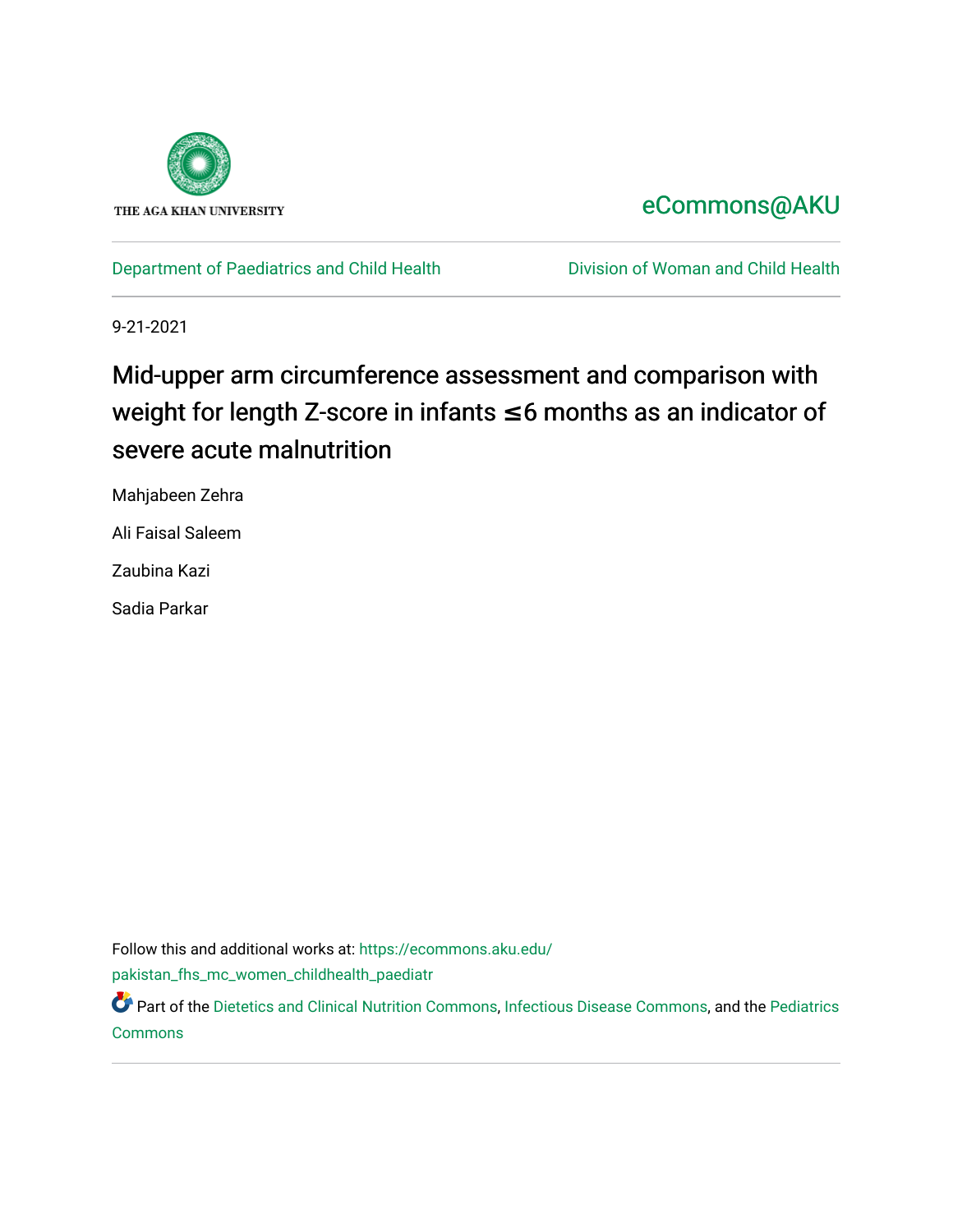

## [eCommons@AKU](https://ecommons.aku.edu/)

[Department of Paediatrics and Child Health](https://ecommons.aku.edu/pakistan_fhs_mc_women_childhealth_paediatr) **Division of Woman and Child Health** 

9-21-2021

# Mid-upper arm circumference assessment and comparison with weight for length Z-score in infants **≤**6 months as an indicator of severe acute malnutrition

Mahjabeen Zehra

Ali Faisal Saleem

Zaubina Kazi

Sadia Parkar

Follow this and additional works at: [https://ecommons.aku.edu/](https://ecommons.aku.edu/pakistan_fhs_mc_women_childhealth_paediatr?utm_source=ecommons.aku.edu%2Fpakistan_fhs_mc_women_childhealth_paediatr%2F1084&utm_medium=PDF&utm_campaign=PDFCoverPages)

[pakistan\\_fhs\\_mc\\_women\\_childhealth\\_paediatr](https://ecommons.aku.edu/pakistan_fhs_mc_women_childhealth_paediatr?utm_source=ecommons.aku.edu%2Fpakistan_fhs_mc_women_childhealth_paediatr%2F1084&utm_medium=PDF&utm_campaign=PDFCoverPages) 

Part of the [Dietetics and Clinical Nutrition Commons,](http://network.bepress.com/hgg/discipline/662?utm_source=ecommons.aku.edu%2Fpakistan_fhs_mc_women_childhealth_paediatr%2F1084&utm_medium=PDF&utm_campaign=PDFCoverPages) [Infectious Disease Commons,](http://network.bepress.com/hgg/discipline/689?utm_source=ecommons.aku.edu%2Fpakistan_fhs_mc_women_childhealth_paediatr%2F1084&utm_medium=PDF&utm_campaign=PDFCoverPages) and the [Pediatrics](http://network.bepress.com/hgg/discipline/700?utm_source=ecommons.aku.edu%2Fpakistan_fhs_mc_women_childhealth_paediatr%2F1084&utm_medium=PDF&utm_campaign=PDFCoverPages) [Commons](http://network.bepress.com/hgg/discipline/700?utm_source=ecommons.aku.edu%2Fpakistan_fhs_mc_women_childhealth_paediatr%2F1084&utm_medium=PDF&utm_campaign=PDFCoverPages)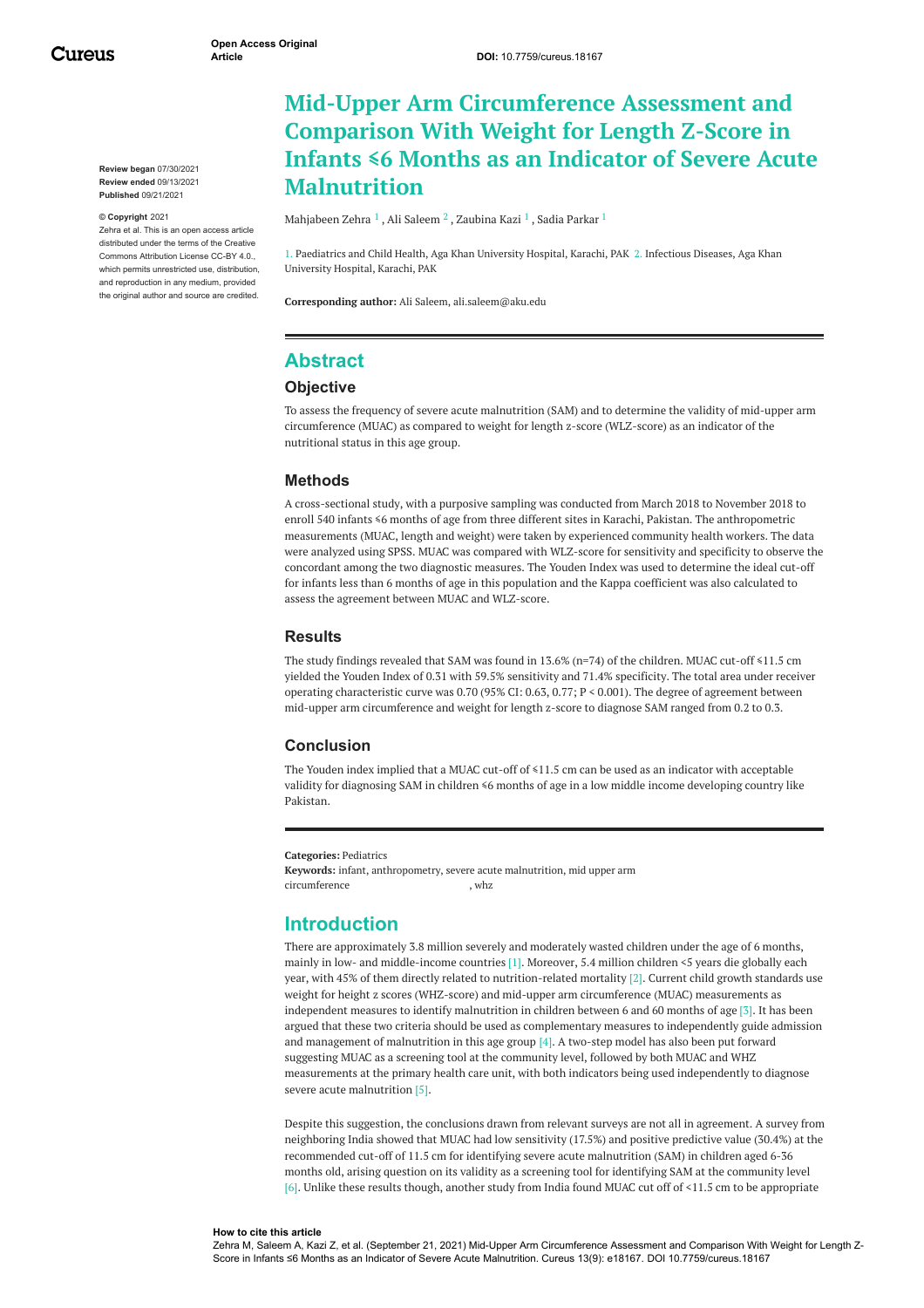Cureus

**Review began** 07/30/2021 **Review ended** 09/13/2021 **Published** 09/21/2021

#### **© Copyright** 2021

Zehra et al. This is an open access article distributed under the terms of the Creative Commons Attribution License CC-BY 4.0., which permits unrestricted use, distribution and reproduction in any medium, provided the original author and source are credited.

## **Mid-Upper Arm Circumference Assessment and Comparison With Weight for Length Z-Score in Infants ≤6 Months as an Indicator of Severe Acute Malnutrition**

[Mahjabeen](https://www.cureus.com/users/252109-mahjabeen-zehra) Zehra  $^1$  , Ali [Saleem](https://www.cureus.com/users/150852-ali-saleem)  $^2$  , [Zaubina](https://www.cureus.com/users/252118-zaubina-kazi) Kazi  $^1$  , Sadia [Parkar](https://www.cureus.com/users/252120-sadia-parkar-ii)  $^1$ 

1. Paediatrics and Child Health, Aga Khan University Hospital, Karachi, PAK 2. Infectious Diseases, Aga Khan University Hospital, Karachi, PAK

**Corresponding author:** Ali Saleem, ali.saleem@aku.edu

### **Abstract**

#### **Objective**

To assess the frequency of severe acute malnutrition (SAM) and to determine the validity of mid-upper arm circumference (MUAC) as compared to weight for length z-score (WLZ-score) as an indicator of the nutritional status in this age group.

#### **Methods**

A cross-sectional study, with a purposive sampling was conducted from March 2018 to November 2018 to enroll 540 infants ≤6 months of age from three different sites in Karachi, Pakistan. The anthropometric measurements (MUAC, length and weight) were taken by experienced community health workers. The data were analyzed using SPSS. MUAC was compared with WLZ-score for sensitivity and specificity to observe the concordant among the two diagnostic measures. The Youden Index was used to determine the ideal cut-off for infants less than 6 months of age in this population and the Kappa coefficient was also calculated to assess the agreement between MUAC and WLZ-score.

#### **Results**

The study findings revealed that SAM was found in 13.6% (n=74) of the children. MUAC cut-off ≤11.5 cm yielded the Youden Index of 0.31 with 59.5% sensitivity and 71.4% specificity. The total area under receiver operating characteristic curve was 0.70 (95% CI: 0.63, 0.77; P < 0.001). The degree of agreement between mid-upper arm circumference and weight for length z-score to diagnose SAM ranged from 0.2 to 0.3.

#### **Conclusion**

The Youden index implied that a MUAC cut-off of  $\leq 11.5$  cm can be used as an indicator with acceptable validity for diagnosing SAM in children ≤6 months of age in a low middle income developing country like Pakistan.

**Categories:** Pediatrics **Keywords:** infant, anthropometry, severe acute malnutrition, mid upper arm circumference , whz

#### **Introduction**

There are approximately 3.8 million severely and moderately wasted children under the age of 6 months, mainly in low- and middle-income countries [1]. Moreover, 5.4 million children <5 years die globally each year, with 45% of them directly related to nutrition-related mortality [2]. Current child growth standards use weight for height z scores (WHZ-score) and mid-upper arm circumference (MUAC) measurements as independent measures to identify malnutrition in children between 6 and 60 months of age [3]. It has been argued that these two criteria should be used as complementary measures to independently guide admission and management of malnutrition in this age group [4]. A two-step model has also been put forward suggesting MUAC as a screening tool at the community level, followed by both MUAC and WHZ measurements at the primary health care unit, with both indicators being used independently to diagnose severe acute malnutrition [5].

Despite this suggestion, the conclusions drawn from relevant surveys are not all in agreement. A survey from neighboring India showed that MUAC had low sensitivity (17.5%) and positive predictive value (30.4%) at the recommended cut-off of 11.5 cm for identifying severe acute malnutrition (SAM) in children aged 6-36 months old, arising question on its validity as a screening tool for identifying SAM at the community level [6]. Unlike these results though, another study from India found MUAC cut off of <11.5 cm to be appropriate

#### **How to cite this article**

Zehra M, Saleem A, Kazi Z, et al. (September 21, 2021) Mid-Upper Arm Circumference Assessment and Comparison With Weight for Length Z-Score in Infants ≤6 Months as an Indicator of Severe Acute Malnutrition. Cureus 13(9): e18167. DOI 10.7759/cureus.18167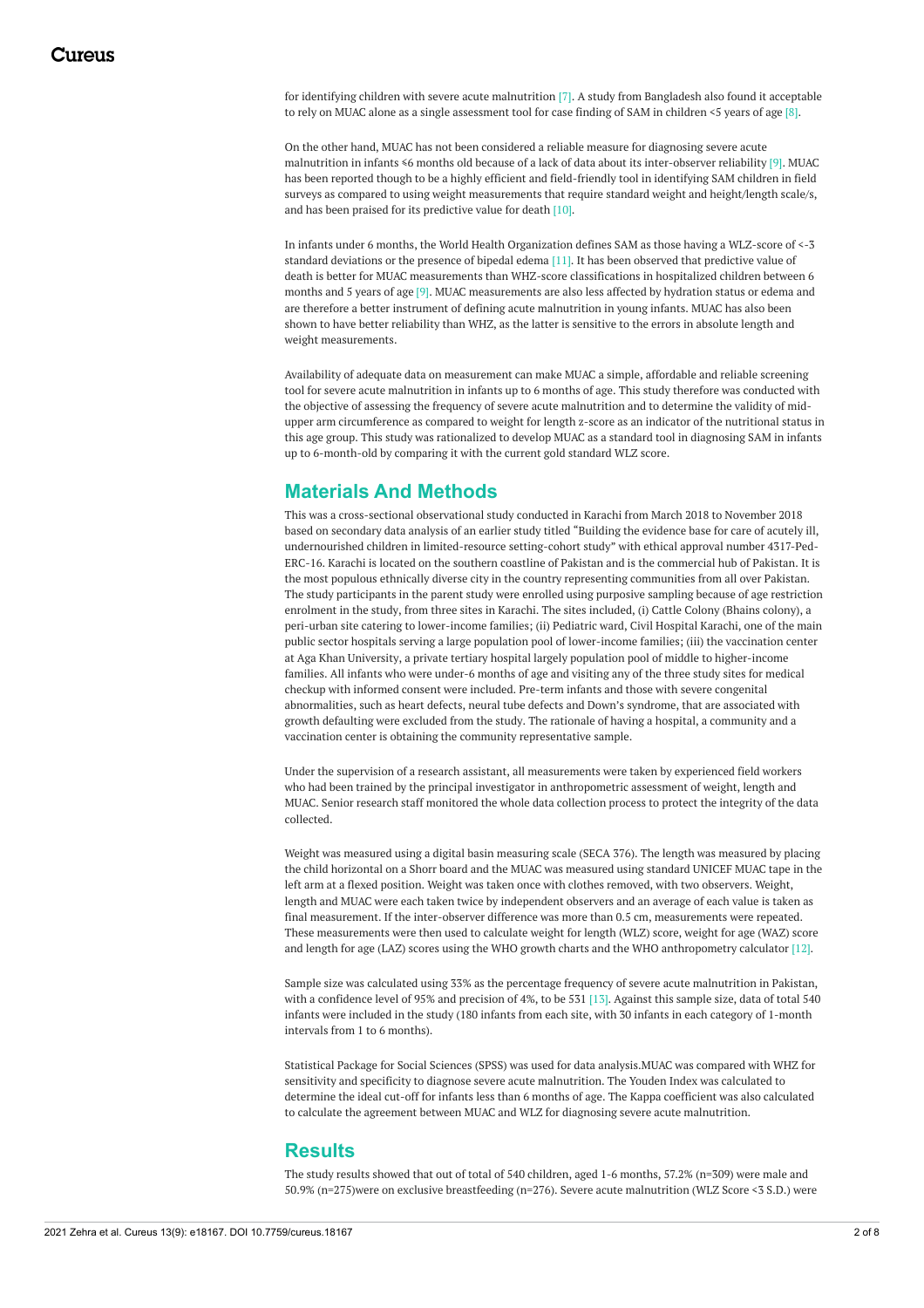for identifying children with severe acute malnutrition [7]. A study from Bangladesh also found it acceptable to rely on MUAC alone as a single assessment tool for case finding of SAM in children <5 years of age [8].

<span id="page-2-0"></span>On the other hand, MUAC has not been considered a reliable measure for diagnosing severe acute malnutrition in infants ≤6 months old because of a lack of data about its inter-observer reliability [9]. MUAC has been reported though to be a highly efficient and field-friendly tool in identifying SAM children in field surveys as compared to using weight measurements that require standard weight and height/length scale/s, and has been praised for its predictive value for death [10].

In infants under 6 months, the World Health Organization defines SAM as those having a WLZ-score of <-3 standard deviations or the presence of bipedal edema [11]. It has been observed that predictive value of death is better for MUAC measurements than WHZ-score classifications in hospitalized children between 6 months and 5 years of age [9]. MUAC measurements are also less affected by hydration status or edema and are therefore a better instrument of defining acute malnutrition in young infants. MUAC has also been shown to have better reliability than WHZ, as the latter is sensitive to the errors in absolute length and weight measurements.

Availability of adequate data on measurement can make MUAC a simple, affordable and reliable screening tool for severe acute malnutrition in infants up to 6 months of age. This study therefore was conducted with the objective of assessing the frequency of severe acute malnutrition and to determine the validity of midupper arm circumference as compared to weight for length z-score as an indicator of the nutritional status in this age group. This study was rationalized to develop MUAC as a standard tool in diagnosing SAM in infants up to 6-month-old by comparing it with the current gold standard WLZ score.

### **Materials And Methods**

This was a cross-sectional observational study conducted in Karachi from March 2018 to November 2018 based on secondary data analysis of an earlier study titled "Building the evidence base for care of acutely ill, undernourished children in limited-resource setting-cohort study" with ethical approval number 4317-Ped-ERC-16. Karachi is located on the southern coastline of Pakistan and is the commercial hub of Pakistan. It is the most populous ethnically diverse city in the country representing communities from all over Pakistan. The study participants in the parent study were enrolled using purposive sampling because of age restriction enrolment in the study, from three sites in Karachi. The sites included, (i) Cattle Colony (Bhains colony), a peri-urban site catering to lower-income families; (ii) Pediatric ward, Civil Hospital Karachi, one of the main public sector hospitals serving a large population pool of lower-income families; (iii) the vaccination center at Aga Khan University, a private tertiary hospital largely population pool of middle to higher-income families. All infants who were under-6 months of age and visiting any of the three study sites for medical checkup with informed consent were included. Pre-term infants and those with severe congenital abnormalities, such as heart defects, neural tube defects and Down's syndrome, that are associated with growth defaulting were excluded from the study. The rationale of having a hospital, a community and a vaccination center is obtaining the community representative sample.

Under the supervision of a research assistant, all measurements were taken by experienced field workers who had been trained by the principal investigator in anthropometric assessment of weight, length and MUAC. Senior research staff monitored the whole data collection process to protect the integrity of the data collected.

Weight was measured using a digital basin measuring scale (SECA 376). The length was measured by placing the child horizontal on a Shorr board and the MUAC was measured using standard UNICEF MUAC tape in the left arm at a flexed position. Weight was taken once with clothes removed, with two observers. Weight, length and MUAC were each taken twice by independent observers and an average of each value is taken as final measurement. If the inter-observer difference was more than 0.5 cm, measurements were repeated. These measurements were then used to calculate weight for length (WLZ) score, weight for age (WAZ) score and length for age (LAZ) scores using the WHO growth charts and the WHO anthropometry calculator [12].

Sample size was calculated using 33% as the percentage frequency of severe acute malnutrition in Pakistan, with a confidence level of 95% and precision of 4%, to be 531 [13]. Against this sample size, data of total 540 infants were included in the study (180 infants from each site, with 30 infants in each category of 1-month intervals from 1 to 6 months).

Statistical Package for Social Sciences (SPSS) was used for data analysis.MUAC was compared with WHZ for sensitivity and specificity to diagnose severe acute malnutrition. The Youden Index was calculated to determine the ideal cut-off for infants less than 6 months of age. The Kappa coefficient was also calculated to calculate the agreement between MUAC and WLZ for diagnosing severe acute malnutrition.

#### **Results**

The study results showed that out of total of 540 children, aged 1-6 months, 57.2% (n=309) were male and 50.9% (n=275)were on exclusive breastfeeding (n=276). Severe acute malnutrition (WLZ Score <3 S.D.) were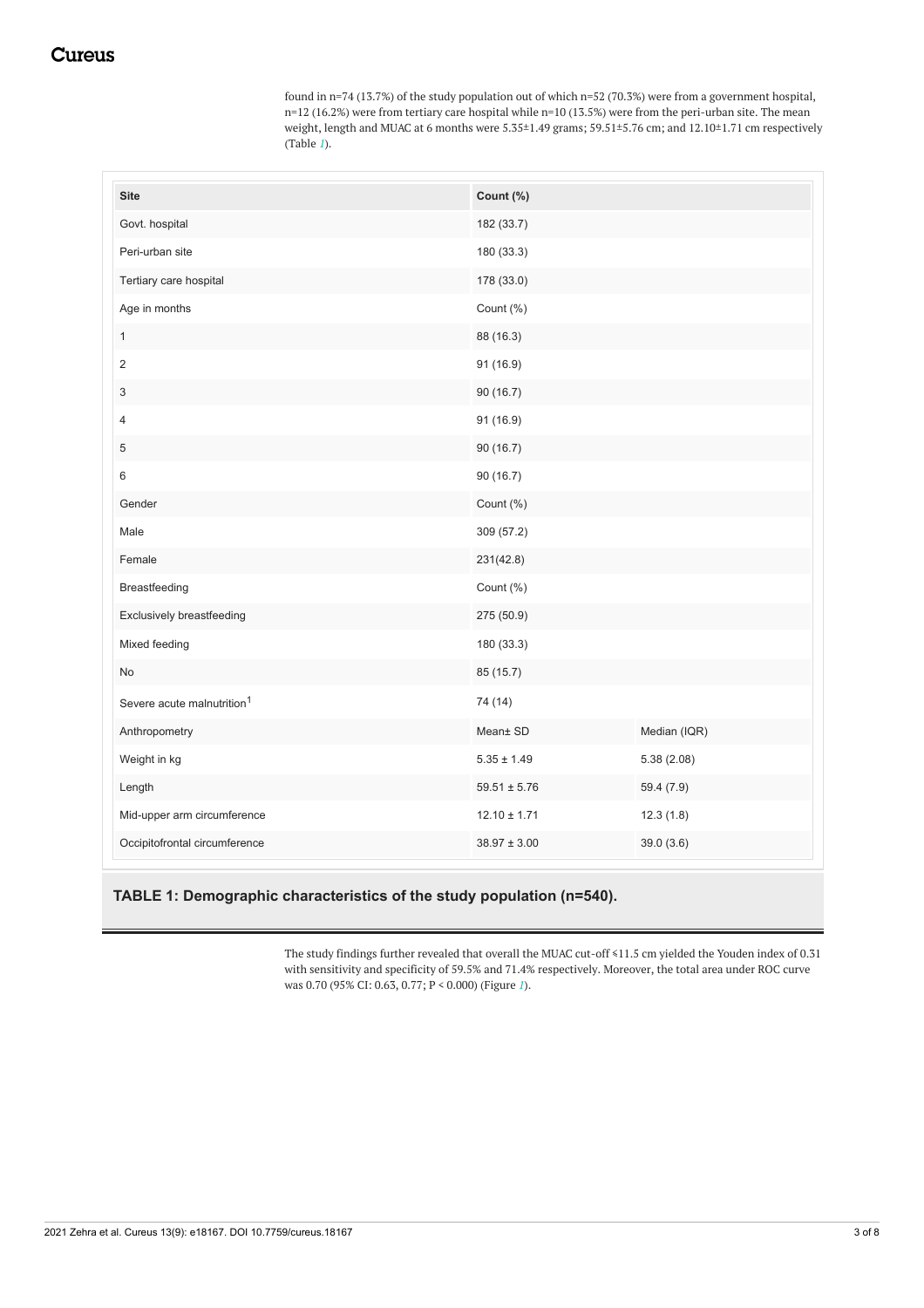<span id="page-3-0"></span>found in n=74 (13.7%) of the study population out of which n=52 (70.3%) were from a government hospital, n=12 (16.2%) were from tertiary care hospital while n=10 (13.5%) were from the peri-urban site. The mean weight, length and MUAC at 6 months were 5.35±1.49 grams; 59.51±5.76 cm; and 12.10±1.71 cm respectively (Table *[1](#page-2-0)*).

| <b>Site</b>                            | Count (%)        |              |
|----------------------------------------|------------------|--------------|
| Govt. hospital                         | 182 (33.7)       |              |
| Peri-urban site                        | 180 (33.3)       |              |
| Tertiary care hospital                 | 178 (33.0)       |              |
| Age in months                          | Count (%)        |              |
| $\mathbf{1}$                           | 88 (16.3)        |              |
| $\overline{2}$                         | 91 (16.9)        |              |
| 3                                      | 90 (16.7)        |              |
| 4                                      | 91 (16.9)        |              |
| $\sqrt{5}$                             | 90 (16.7)        |              |
| 6                                      | 90 (16.7)        |              |
| Gender                                 | Count (%)        |              |
| Male                                   | 309 (57.2)       |              |
| Female                                 | 231(42.8)        |              |
| Breastfeeding                          | Count (%)        |              |
| Exclusively breastfeeding              | 275 (50.9)       |              |
| Mixed feeding                          | 180 (33.3)       |              |
| No                                     | 85 (15.7)        |              |
| Severe acute malnutrition <sup>1</sup> | 74 (14)          |              |
| Anthropometry                          | Mean± SD         | Median (IQR) |
| Weight in kg                           | $5.35 \pm 1.49$  | 5.38(2.08)   |
| Length                                 | $59.51 \pm 5.76$ | 59.4 (7.9)   |
| Mid-upper arm circumference            | $12.10 \pm 1.71$ | 12.3(1.8)    |
| Occipitofrontal circumference          | $38.97 \pm 3.00$ | 39.0 (3.6)   |
|                                        |                  |              |

#### **TABLE 1: Demographic characteristics of the study population (n=540).**

The study findings further revealed that overall the MUAC cut-off ≤11.5 cm yielded the Youden index of 0.31 with sensitivity and specificity of 59.5% and 71.4% respectively. Moreover, the total area under ROC curve was 0.70 (95% CI: 0.63, 0.77; P < 0.000) (Figure *[1](#page-3-0)*).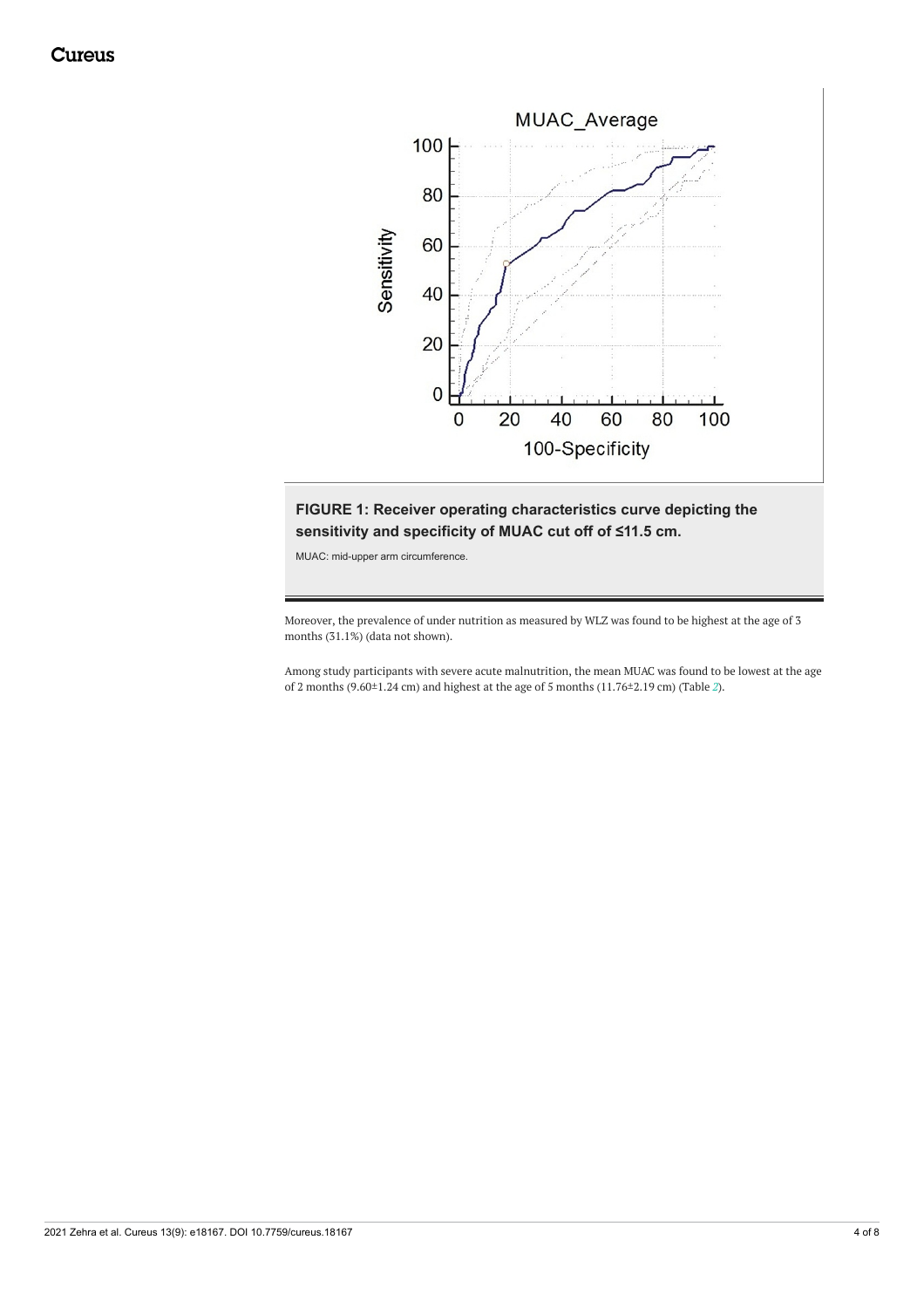<span id="page-4-0"></span>

#### **FIGURE 1: Receiver operating characteristics curve depicting the sensitivity and specificity of MUAC cut off of ≤11.5 cm.**

MUAC: mid-upper arm circumference.

Moreover, the prevalence of under nutrition as measured by WLZ was found to be highest at the age of 3 months (31.1%) (data not shown).

<span id="page-4-1"></span>Among study participants with severe acute malnutrition, the mean MUAC was found to be lowest at the age of 2 months (9.60±1.24 cm) and highest at the age of 5 months (11.76±2.19 cm) (Table *[2](#page-4-0)*).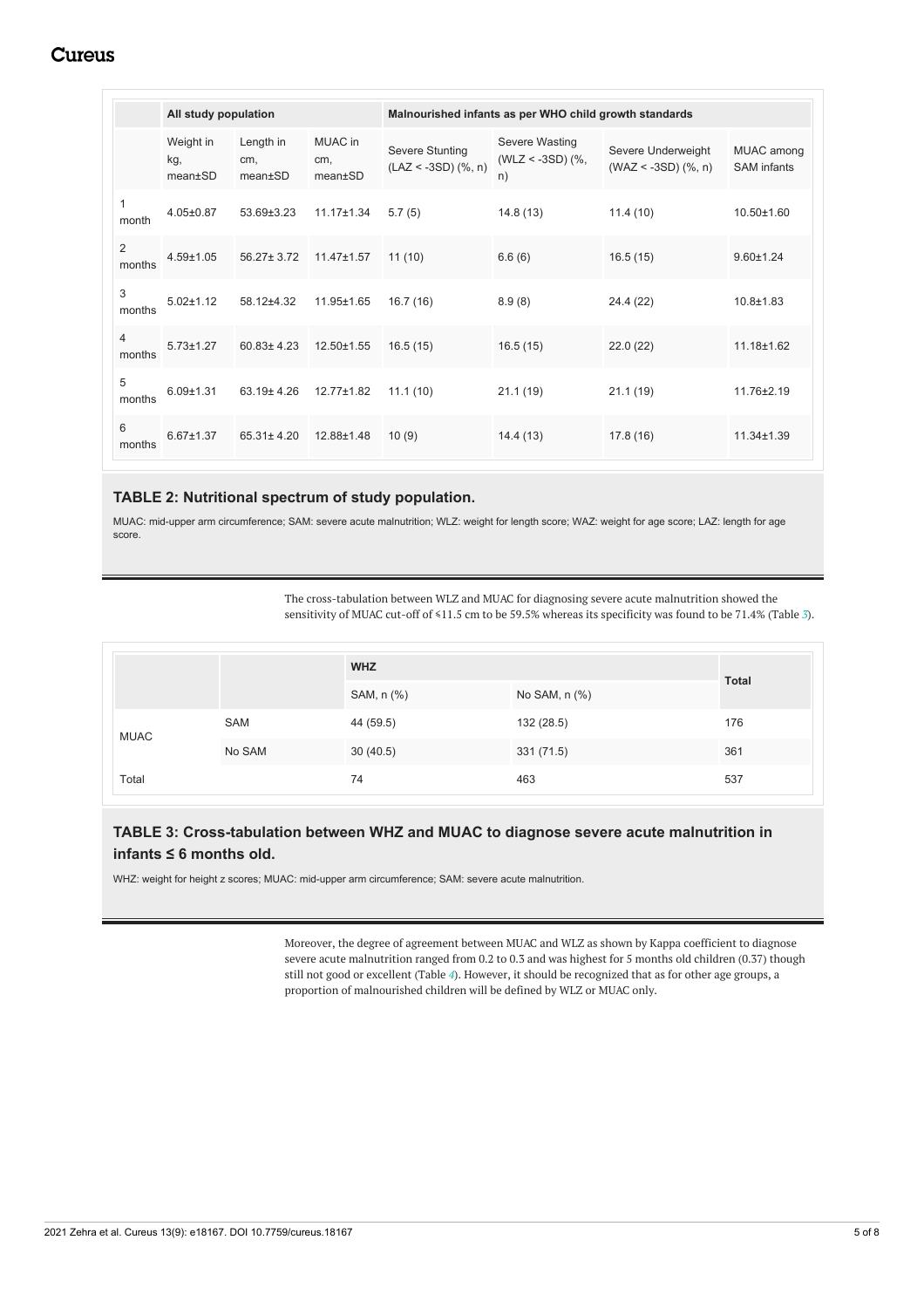## **Cureus**

<span id="page-5-0"></span>

|                          | All study population        |                             |                           | Malnourished infants as per WHO child growth standards |                                              |                                                 |                                  |
|--------------------------|-----------------------------|-----------------------------|---------------------------|--------------------------------------------------------|----------------------------------------------|-------------------------------------------------|----------------------------------|
|                          | Weight in<br>kg,<br>mean±SD | Length in<br>cm,<br>mean±SD | MUAC in<br>cm,<br>mean±SD | <b>Severe Stunting</b><br>$(LAZ < -3SD)$ (%, n)        | Severe Wasting<br>(WLZ < -3SD) $(\%$ ,<br>n) | Severe Underweight<br>$(WAZ < -3SD)$ $(\%$ , n) | MUAC among<br><b>SAM</b> infants |
| 1<br>month               | $4.05 \pm 0.87$             | 53.69±3.23                  | $11.17 \pm 1.34$          | 5.7(5)                                                 | 14.8(13)                                     | 11.4(10)                                        | 10.50±1.60                       |
| $\overline{2}$<br>months | $4.59 \pm 1.05$             | $56.27 \pm 3.72$            | 11.47±1.57                | 11(10)                                                 | 6.6(6)                                       | 16.5(15)                                        | $9.60 \pm 1.24$                  |
| 3<br>months              | $5.02 \pm 1.12$             | 58.12±4.32                  | 11.95±1.65                | 16.7(16)                                               | 8.9(8)                                       | 24.4 (22)                                       | $10.8 \pm 1.83$                  |
| $\overline{4}$<br>months | $5.73 \pm 1.27$             | 60.83±4.23                  | 12.50±1.55                | 16.5(15)                                               | 16.5(15)                                     | 22.0(22)                                        | 11.18±1.62                       |
| 5<br>months              | $6.09 + 1.31$               | 63.19±4.26                  | 12.77±1.82                | 11.1(10)                                               | 21.1(19)                                     | 21.1(19)                                        | 11.76±2.19                       |
| 6<br>months              | $6.67 \pm 1.37$             | 65.31±4.20                  | 12.88±1.48                | 10(9)                                                  | 14.4(13)                                     | 17.8(16)                                        | 11.34±1.39                       |

#### **TABLE 2: Nutritional spectrum of study population.**

MUAC: mid-upper arm circumference; SAM: severe acute malnutrition; WLZ: weight for length score; WAZ: weight for age score; LAZ: length for age score.

> The cross-tabulation between WLZ and MUAC for diagnosing severe acute malnutrition showed the sensitivity of MUAC cut-off of ≤11.5 cm to be 59.5% whereas its specificity was found to be 71.4% (Table *[3](#page-4-1)*).

|             |            | <b>WHZ</b> |               | <b>Total</b> |
|-------------|------------|------------|---------------|--------------|
|             |            | SAM, n (%) | No SAM, n (%) |              |
|             | <b>SAM</b> | 44 (59.5)  | 132 (28.5)    | 176          |
| <b>MUAC</b> | No SAM     | 30(40.5)   | 331 (71.5)    | 361          |
| Total       |            | 74         | 463           | 537          |

#### **TABLE 3: Cross-tabulation between WHZ and MUAC to diagnose severe acute malnutrition in infants ≤ 6 months old.**

WHZ: weight for height z scores; MUAC: mid-upper arm circumference; SAM: severe acute malnutrition.

Moreover, the degree of agreement between MUAC and WLZ as shown by Kappa coefficient to diagnose severe acute malnutrition ranged from 0.2 to 0.3 and was highest for 5 months old children (0.37) though still not good or excellent (Table *[4](#page-5-0)*). However, it should be recognized that as for other age groups, a proportion of malnourished children will be defined by WLZ or MUAC only.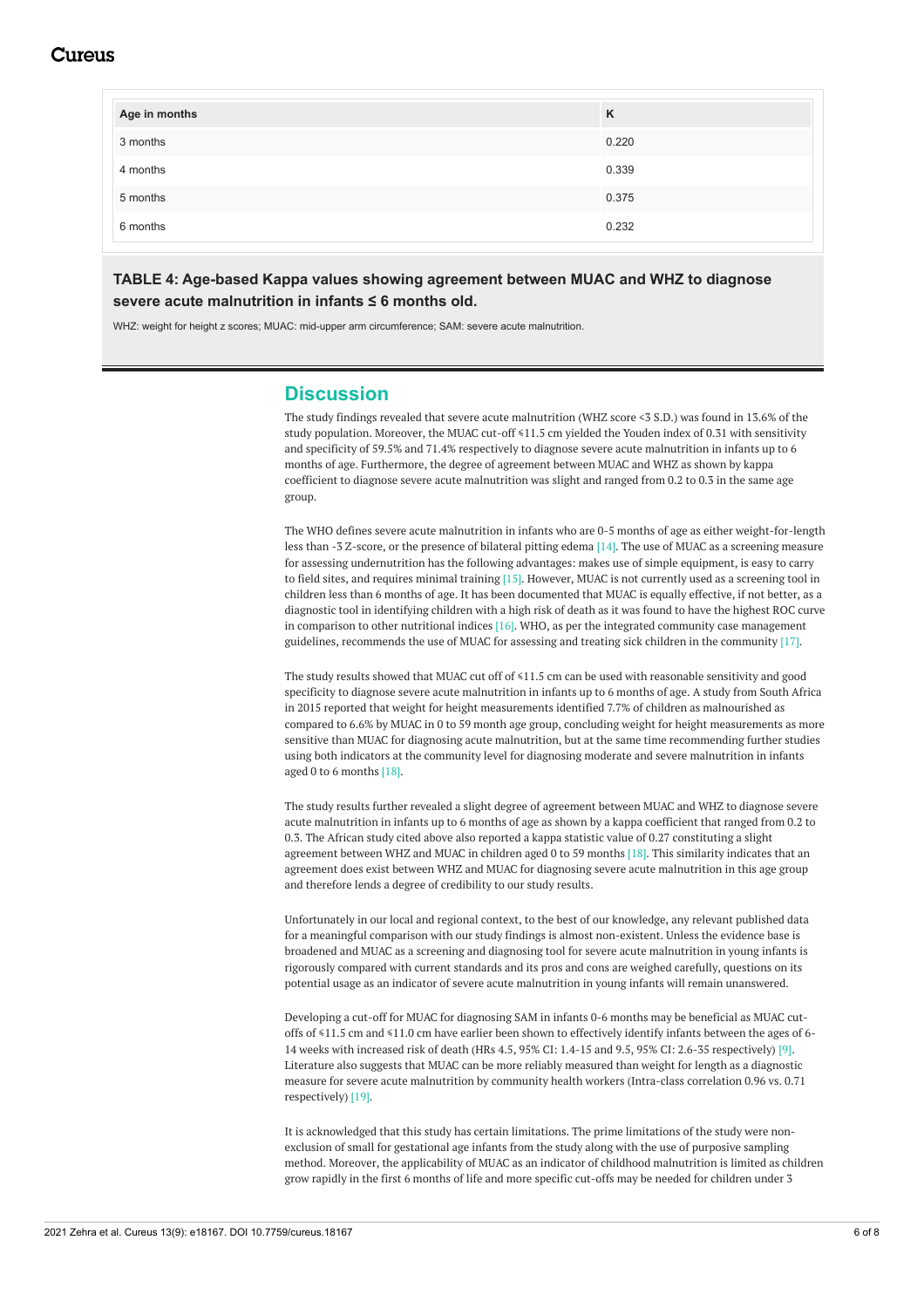## Cureus

| Age in months | K     |
|---------------|-------|
| 3 months      | 0.220 |
| 4 months      | 0.339 |
| 5 months      | 0.375 |
| 6 months      | 0.232 |

**TABLE 4: Age-based Kappa values showing agreement between MUAC and WHZ to diagnose severe acute malnutrition in infants ≤ 6 months old.**

WHZ: weight for height z scores; MUAC: mid-upper arm circumference; SAM: severe acute malnutrition.

#### **Discussion**

The study findings revealed that severe acute malnutrition (WHZ score <3 S.D.) was found in 13.6% of the study population. Moreover, the MUAC cut-off ≤11.5 cm yielded the Youden index of 0.31 with sensitivity and specificity of 59.5% and 71.4% respectively to diagnose severe acute malnutrition in infants up to 6 months of age. Furthermore, the degree of agreement between MUAC and WHZ as shown by kappa coefficient to diagnose severe acute malnutrition was slight and ranged from 0.2 to 0.3 in the same age group.

The WHO defines severe acute malnutrition in infants who are 0-5 months of age as either weight-for-length less than -3 Z-score, or the presence of bilateral pitting edema [14]. The use of MUAC as a screening measure for assessing undernutrition has the following advantages: makes use of simple equipment, is easy to carry to field sites, and requires minimal training [15]. However, MUAC is not currently used as a screening tool in children less than 6 months of age. It has been documented that MUAC is equally effective, if not better, as a diagnostic tool in identifying children with a high risk of death as it was found to have the highest ROC curve in comparison to other nutritional indices [16]. WHO, as per the integrated community case management guidelines, recommends the use of MUAC for assessing and treating sick children in the community [17].

The study results showed that MUAC cut off of ≤11.5 cm can be used with reasonable sensitivity and good specificity to diagnose severe acute malnutrition in infants up to 6 months of age. A study from South Africa in 2015 reported that weight for height measurements identified 7.7% of children as malnourished as compared to 6.6% by MUAC in 0 to 59 month age group, concluding weight for height measurements as more sensitive than MUAC for diagnosing acute malnutrition, but at the same time recommending further studies using both indicators at the community level for diagnosing moderate and severe malnutrition in infants aged 0 to 6 months [18].

The study results further revealed a slight degree of agreement between MUAC and WHZ to diagnose severe acute malnutrition in infants up to 6 months of age as shown by a kappa coefficient that ranged from 0.2 to 0.3. The African study cited above also reported a kappa statistic value of 0.27 constituting a slight agreement between WHZ and MUAC in children aged 0 to 59 months [18]. This similarity indicates that an agreement does exist between WHZ and MUAC for diagnosing severe acute malnutrition in this age group and therefore lends a degree of credibility to our study results.

Unfortunately in our local and regional context, to the best of our knowledge, any relevant published data for a meaningful comparison with our study findings is almost non-existent. Unless the evidence base is broadened and MUAC as a screening and diagnosing tool for severe acute malnutrition in young infants is rigorously compared with current standards and its pros and cons are weighed carefully, questions on its potential usage as an indicator of severe acute malnutrition in young infants will remain unanswered.

Developing a cut-off for MUAC for diagnosing SAM in infants 0-6 months may be beneficial as MUAC cutoffs of ≤11.5 cm and ≤11.0 cm have earlier been shown to effectively identify infants between the ages of 6- 14 weeks with increased risk of death (HRs 4.5, 95% CI: 1.4-15 and 9.5, 95% CI: 2.6-35 respectively) [9]. Literature also suggests that MUAC can be more reliably measured than weight for length as a diagnostic measure for severe acute malnutrition by community health workers (Intra-class correlation 0.96 vs. 0.71 respectively) [19].

It is acknowledged that this study has certain limitations. The prime limitations of the study were nonexclusion of small for gestational age infants from the study along with the use of purposive sampling method. Moreover, the applicability of MUAC as an indicator of childhood malnutrition is limited as children grow rapidly in the first 6 months of life and more specific cut-offs may be needed for children under 3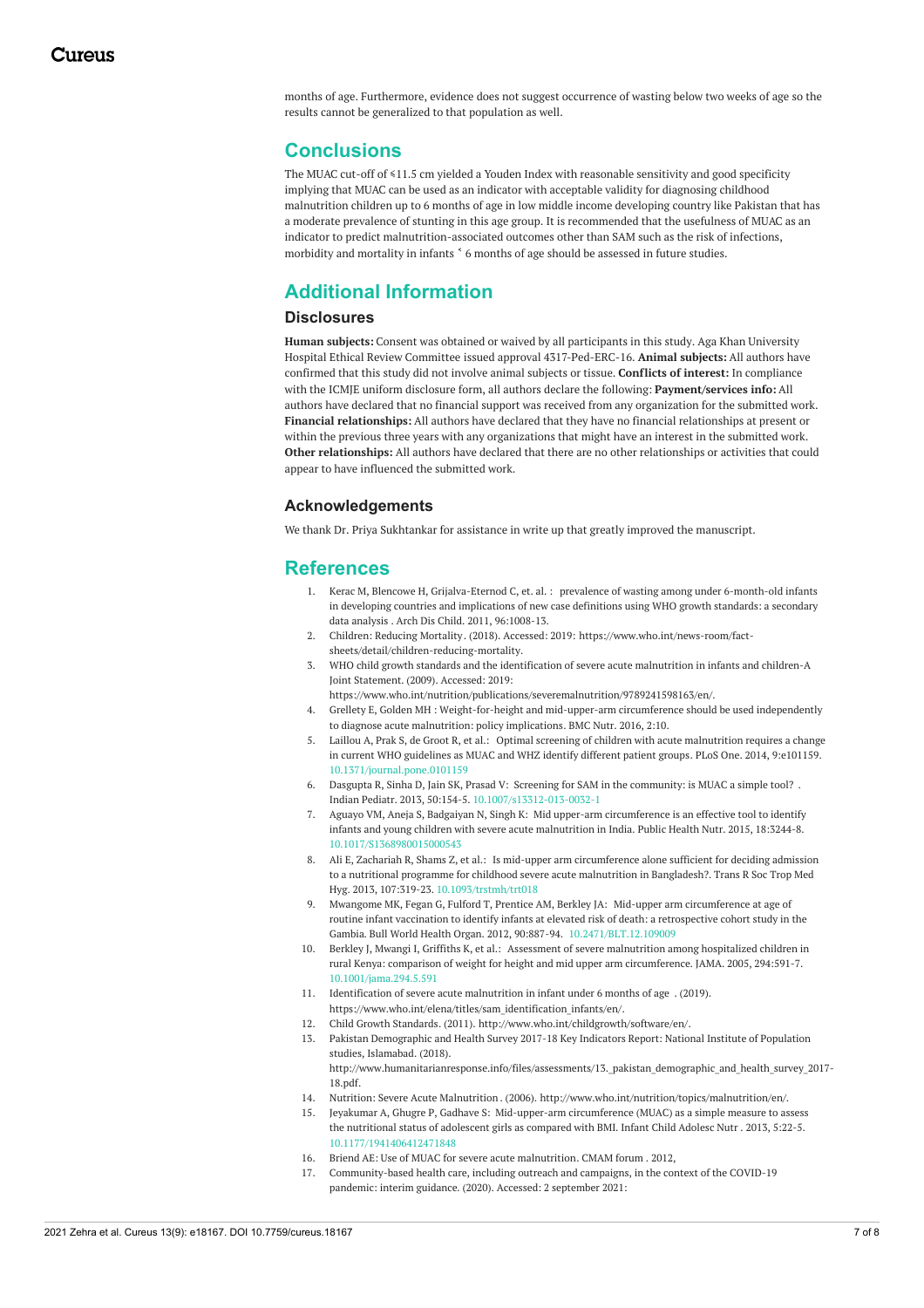months of age. Furthermore, evidence does not suggest occurrence of wasting below two weeks of age so the results cannot be generalized to that population as well.

### **Conclusions**

The MUAC cut-off of ≤11.5 cm yielded a Youden Index with reasonable sensitivity and good specificity implying that MUAC can be used as an indicator with acceptable validity for diagnosing childhood malnutrition children up to 6 months of age in low middle income developing country like Pakistan that has a moderate prevalence of stunting in this age group. It is recommended that the usefulness of MUAC as an indicator to predict malnutrition-associated outcomes other than SAM such as the risk of infections, morbidity and mortality in infants  $\degree$  6 months of age should be assessed in future studies.

## **Additional Information**

#### **Disclosures**

**Human subjects:** Consent was obtained or waived by all participants in this study. Aga Khan University Hospital Ethical Review Committee issued approval 4317-Ped-ERC-16. **Animal subjects:** All authors have confirmed that this study did not involve animal subjects or tissue. **Conflicts of interest:** In compliance with the ICMJE uniform disclosure form, all authors declare the following: **Payment/services info:** All authors have declared that no financial support was received from any organization for the submitted work. **Financial relationships:** All authors have declared that they have no financial relationships at present or within the previous three years with any organizations that might have an interest in the submitted work. **Other relationships:** All authors have declared that there are no other relationships or activities that could appear to have influenced the submitted work.

#### **Acknowledgements**

We thank Dr. Priya Sukhtankar for assistance in write up that greatly improved the manuscript.

#### **References**

- 1. Kerac M, Blencowe H, [Grijalva-Eternod](https://adc.bmj.com/content/96/11/1008.short) C, et. al. : prevalence of wasting among under 6-month-old infants in developing countries and implications of new case definitions using WHO growth standards: a secondary data analysis . Arch Dis Child. 2011, 96:1008-13.
- 2. [Children:](file:////tmp/ https://www.who.int/news-room/fact-sheets/detail/children-reducing-mortality) Reducing Mortality. (2018). Accessed: 2019: https://www.who.int/news-room/fact[sheets/detail/children-reducing-mortality.](file:////tmp/ https://www.who.int/news-room/fact-sheets/detail/children-reducing-mortality)
- 3. WHO child growth standards and the [identification](https://www.who.int/nutrition/publications/severemalnutrition/9789241598163/en/) of severe acute malnutrition in infants and children-A Joint Statement. (2009). Accessed: 2019:
- <https://www.who.int/nutrition/publications/severemalnutrition/9789241598163/en/>.
- 4. Grellety E, Golden MH : [Weight-for-height](https://bmcnutr.biomedcentral.com/articles/10.1186/s40795-016-0049-7) and mid-upper-arm circumference should be used independently to diagnose acute malnutrition: policy implications. BMC Nutr. 2016, 2:10.
- Laillou A, Prak S, de Groot R, et al.: Optimal screening of children with acute [malnutrition](https://dx.doi.org/10.1371/journal.pone.0101159) requires a change in current WHO guidelines as MUAC and WHZ identify different patient groups. PLoS One. 2014, 9:e101159. [10.1371/journal.pone.0101159](https://dx.doi.org/10.1371/journal.pone.0101159)
- 6. Dasgupta R, Sinha D, Jain SK, Prasad V: Screening for SAM in the [community:](https://dx.doi.org/10.1007/s13312-013-0032-1) is MUAC a simple tool? . Indian Pediatr. 2013, 50:154-5. [10.1007/s13312-013-0032-1](https://dx.doi.org/10.1007/s13312-013-0032-1)
- 7. Aguayo VM, Aneja S, Badgaiyan N, Singh K: Mid upper-arm [circumference](https://dx.doi.org/10.1017/S1368980015000543) is an effective tool to identify infants and young children with severe acute malnutrition in India. Public Health Nutr. 2015, 18:3244-8. [10.1017/S1368980015000543](https://dx.doi.org/10.1017/S1368980015000543)
- 8. Ali E, Zachariah R, Shams Z, et al.: Is mid-upper arm [circumference](https://dx.doi.org/10.1093/trstmh/trt018) alone sufficient for deciding admission to a nutritional programme for childhood severe acute malnutrition in Bangladesh?. Trans R Soc Trop Med Hyg. 2013, 107:319-23. [10.1093/trstmh/trt018](https://dx.doi.org/10.1093/trstmh/trt018)
- 9. Mwangome MK, Fegan G, Fulford T, Prentice AM, Berkley JA: Mid-upper arm circumference at age of routine infant vaccination to identify infants at elevated risk of death: a retrospective cohort study in the Gambia. Bull World Health Organ. 2012, 90:887-94. [10.2471/BLT.12.109009](https://dx.doi.org/10.2471/BLT.12.109009)
- 10. Berkley J, Mwangi I, Griffiths K, et al.: Assessment of severe malnutrition among hospitalized children in rural Kenya: comparison of weight for height and mid upper arm [circumference.](https://dx.doi.org/10.1001/jama.294.5.591) JAMA. 2005, 294:591-7. [10.1001/jama.294.5.591](https://dx.doi.org/10.1001/jama.294.5.591)
- 11. [Identification](https://www.who.int/elena/titles/sam_identification_infants/en/) of severe acute malnutrition in infant under 6 months of age . (2019). [https://www.who.int/elena/titles/sam\\_identification\\_infants/en/](https://www.who.int/elena/titles/sam_identification_infants/en/).
- 12. Child Growth [Standards](http://www.who.int/childgrowth/software/en/). (2011). <http://www.who.int/childgrowth/software/en/>.
- 13. Pakistan [Demographic](http://www.humanitarianresponse.info/files/assessments/13._pakistan_demographic_and_health_survey_2017-18.pdf) and Health Survey 2017-18 Key Indicators Report: National Institute of Population studies, Islamabad. (2018).

[http://www.humanitarianresponse.info/files/assessments/13.\\_pakistan\\_demographic\\_and\\_health\\_survey\\_2017-](http://www.humanitarianresponse.info/files/assessments/13._pakistan_demographic_and_health_survey_2017-18.pdf) 18.pdf.

- 14. Nutrition: Severe Acute [Malnutrition](http://www.who.int/nutrition/topics/malnutrition/en/) . (2006). <http://www.who.int/nutrition/topics/malnutrition/en/>.
- 15. Jeyakumar A, Ghugre P, Gadhave S: [Mid-upper-arm](https://dx.doi.org/10.1177/1941406412471848) circumference (MUAC) as a simple measure to assess the nutritional status of adolescent girls as compared with BMI. Infant Child Adolesc Nutr . 2013, 5:22-5. [10.1177/1941406412471848](https://dx.doi.org/10.1177/1941406412471848)
- 16. Briend AE: Use of MUAC for severe acute [malnutrition](https://scholar.google.com/scholar?q=intitle: Use of MUAC for severe acute malnutrition). CMAM forum . 2012,
- 17. [Community-based](https://apps.who.int/iris/handle/10665/331975) health care, including outreach and campaigns, in the context of the COVID-19 pandemic: interim guidance. (2020). Accessed: 2 september 2021: